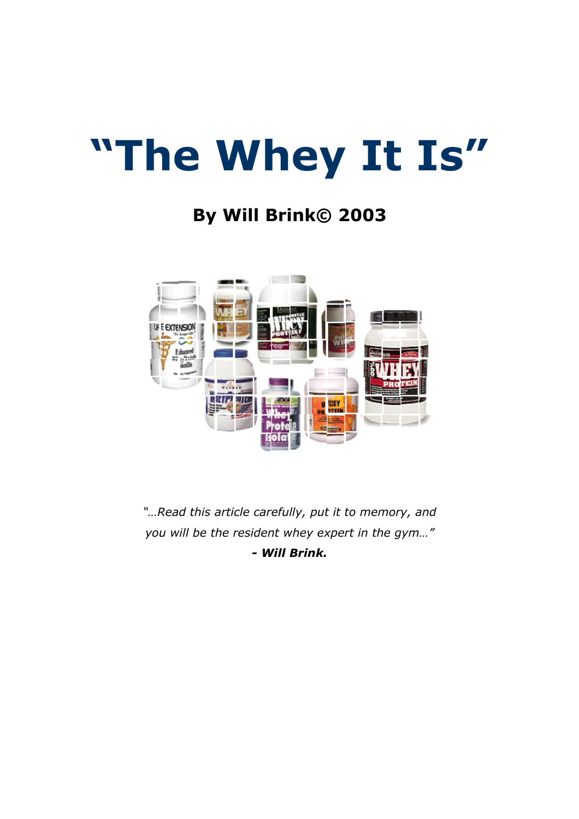# **"The Whey It Is"**

## **By Will Brink© 2003**



*"…Read this article carefully, put it to memory, and you will be the resident whey expert in the gym…" - Will Brink.*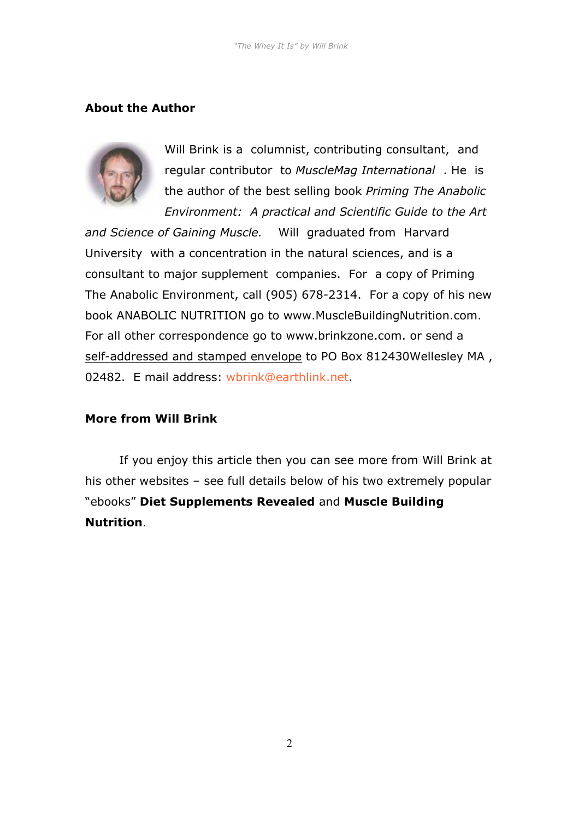#### **About the Author**



Will Brink is a columnist, contributing consultant, and regular contributor to *MuscleMag International* . He is the author of the best selling book *Priming The Anabolic Environment: A practical and Scientific Guide to the Art* 

*and Science of Gaining Muscle.* Will graduated from Harvard University with a concentration in the natural sciences, and is a consultant to major supplement companies. For a copy of Priming The Anabolic Environment, call (905) 678-2314. For a copy of his new book ANABOLIC NUTRITION go to www.MuscleBuildingNutrition.com. For all other correspondence go to www.brinkzone.com. or send a self-addressed and stamped envelope to PO Box 812430Wellesley MA, 02482. E mail address: [wbrink@earthlink.net.](mailto:wbrink@earthlink.net)

#### **More from Will Brink**

 If you enjoy this article then you can see more from Will Brink at his other websites – see full details below of his two extremely popular "ebooks" **Diet Supplements Revealed** and **Muscle Building Nutrition**.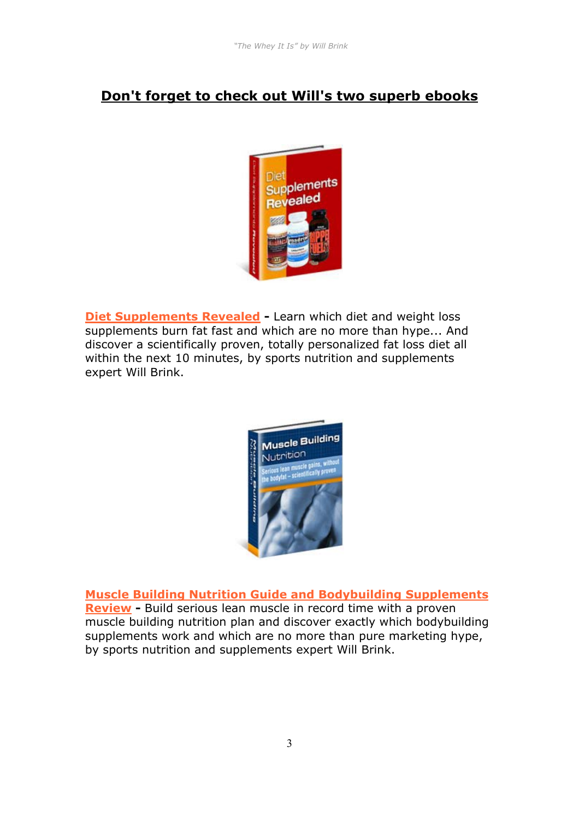#### **Don't forget to check out Will's two superb ebooks**



**[Diet Supplements Revealed](http://aboutsupplements.com/cgi/at.cgi?a=247018) -** Learn which diet and weight loss supplements burn fat fast and which are no more than hype... And discover a scientifically proven, totally personalized fat loss diet all within the next 10 minutes, by sports nutrition and supplements expert Will Brink.



**[Muscle Building Nutrition Guide and Bodybuilding Supplements](http://musclebuildingnutrition.com/cgi/at.cgi?a=247018)  [Review](http://musclebuildingnutrition.com/cgi/at.cgi?a=247018) -** Build serious lean muscle in record time with a proven muscle building nutrition plan and discover exactly which bodybuilding supplements work and which are no more than pure marketing hype, by sports nutrition and supplements expert Will Brink.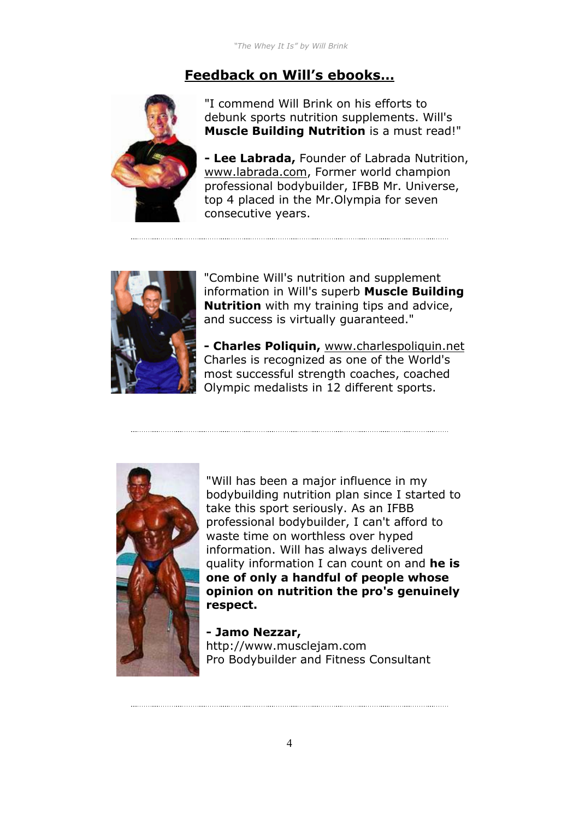#### **Feedback on Will's ebooks…**



"I commend Will Brink on his efforts to debunk sports nutrition supplements. Will's **Muscle Building Nutrition** is a must read!"

**- Lee Labrada,** Founder of Labrada Nutrition, www.labrada.com, Former world champion professional bodybuilder, IFBB Mr. Universe, top 4 placed in the Mr.Olympia for seven consecutive years.



"Combine Will's nutrition and supplement information in Will's superb **Muscle Building Nutrition** with my training tips and advice, and success is virtually guaranteed."

**- Charles Poliquin,** www.charlespoliquin.net Charles is recognized as one of the World's most successful strength coaches, coached Olympic medalists in 12 different sports.



"Will has been a major influence in my bodybuilding nutrition plan since I started to take this sport seriously. As an IFBB professional bodybuilder, I can't afford to waste time on worthless over hyped information. Will has always delivered quality information I can count on and **he is one of only a handful of people whose opinion on nutrition the pro's genuinely respect.**

**- Jamo Nezzar,**  http://www.musclejam.com Pro Bodybuilder and Fitness Consultant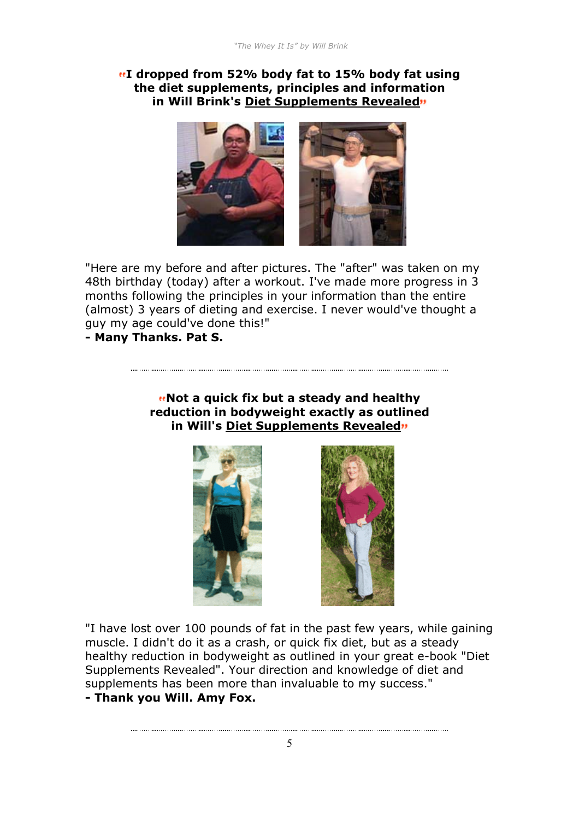#### **I dropped from 52% body fat to 15% body fat using the diet supplements, principles and information in Will Brink's Diet Supplements Revealed**



"Here are my before and after pictures. The "after" was taken on my 48th birthday (today) after a workout. I've made more progress in 3 months following the principles in your information than the entire (almost) 3 years of dieting and exercise. I never would've thought a guy my age could've done this!"

#### **- Many Thanks. Pat S.**

#### **Mot a quick fix but a steady and healthy reduction in bodyweight exactly as outlined in Will's Diet Supplements Revealed**





"I have lost over 100 pounds of fat in the past few years, while gaining muscle. I didn't do it as a crash, or quick fix diet, but as a steady healthy reduction in bodyweight as outlined in your great e-book "Diet Supplements Revealed". Your direction and knowledge of diet and supplements has been more than invaluable to my success." **- Thank you Will. Amy Fox.**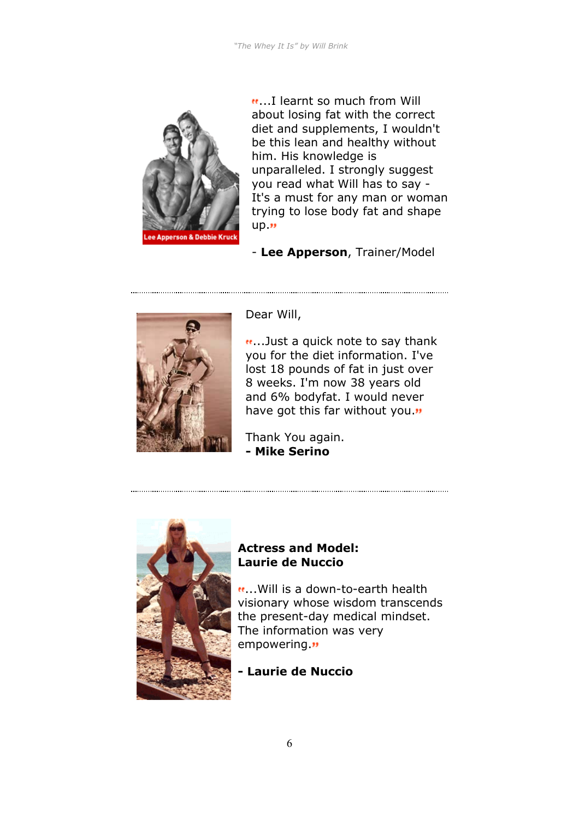

...I learnt so much from Will about losing fat with the correct diet and supplements, I wouldn't be this lean and healthy without him. His knowledge is unparalleled. I strongly suggest you read what Will has to say - It's a must for any man or woman trying to lose body fat and shape  $up.$ "

- **Lee Apperson**, Trainer/Model



Dear Will,

...Just a quick note to say thank you for the diet information. I've lost 18 pounds of fat in just over 8 weeks. I'm now 38 years old and 6% bodyfat. I would never have got this far without you."

Thank You again. **- Mike Serino**



#### **Actress and Model: Laurie de Nuccio**

...Will is a down-to-earth health visionary whose wisdom transcends the present-day medical mindset. The information was very empowering."

**- Laurie de Nuccio**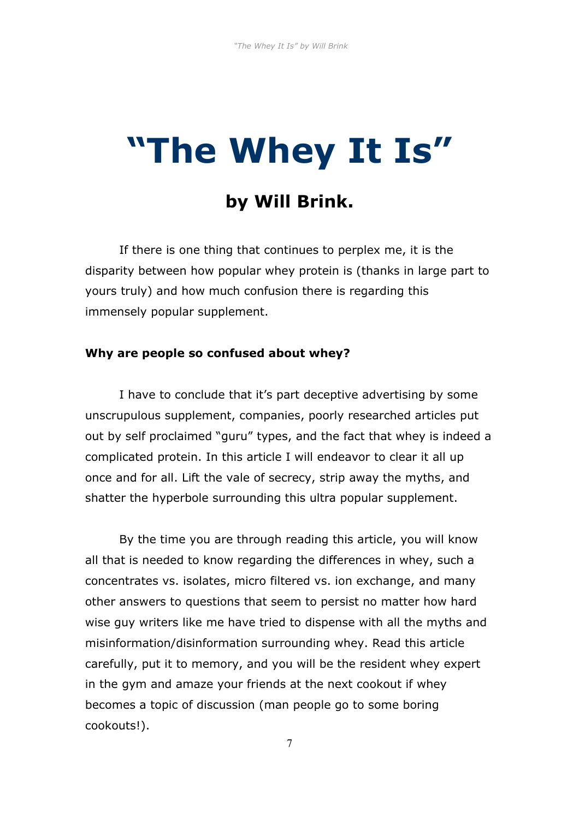## **"The Whey It Is"**

### **by Will Brink.**

If there is one thing that continues to perplex me, it is the disparity between how popular whey protein is (thanks in large part to yours truly) and how much confusion there is regarding this immensely popular supplement.

#### **Why are people so confused about whey?**

I have to conclude that it's part deceptive advertising by some unscrupulous supplement, companies, poorly researched articles put out by self proclaimed "guru" types, and the fact that whey is indeed a complicated protein. In this article I will endeavor to clear it all up once and for all. Lift the vale of secrecy, strip away the myths, and shatter the hyperbole surrounding this ultra popular supplement.

By the time you are through reading this article, you will know all that is needed to know regarding the differences in whey, such a concentrates vs. isolates, micro filtered vs. ion exchange, and many other answers to questions that seem to persist no matter how hard wise guy writers like me have tried to dispense with all the myths and misinformation/disinformation surrounding whey. Read this article carefully, put it to memory, and you will be the resident whey expert in the gym and amaze your friends at the next cookout if whey becomes a topic of discussion (man people go to some boring cookouts!).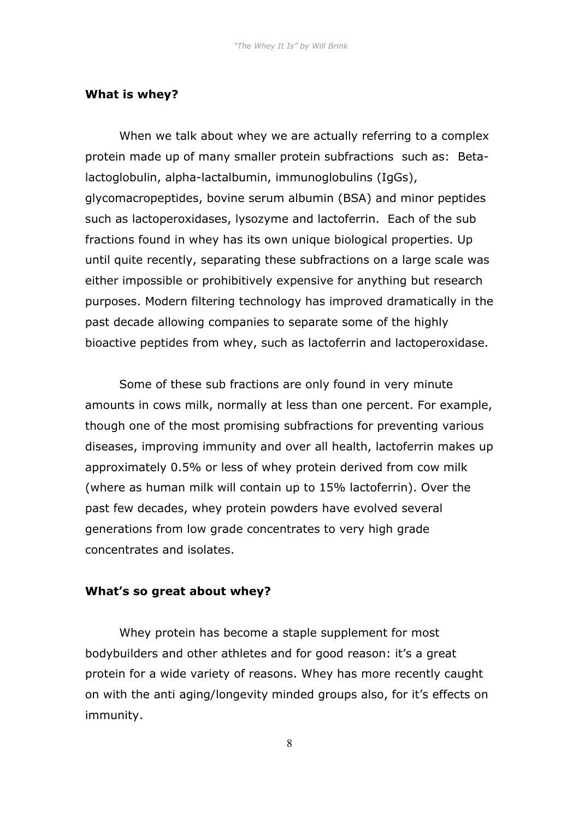#### **What is whey?**

When we talk about whey we are actually referring to a complex protein made up of many smaller protein subfractions such as: Betalactoglobulin, alpha-lactalbumin, immunoglobulins (IgGs), glycomacropeptides, bovine serum albumin (BSA) and minor peptides such as lactoperoxidases, lysozyme and lactoferrin. Each of the sub fractions found in whey has its own unique biological properties. Up until quite recently, separating these subfractions on a large scale was either impossible or prohibitively expensive for anything but research purposes. Modern filtering technology has improved dramatically in the past decade allowing companies to separate some of the highly bioactive peptides from whey, such as lactoferrin and lactoperoxidase.

Some of these sub fractions are only found in very minute amounts in cows milk, normally at less than one percent. For example, though one of the most promising subfractions for preventing various diseases, improving immunity and over all health, lactoferrin makes up approximately 0.5% or less of whey protein derived from cow milk (where as human milk will contain up to 15% lactoferrin). Over the past few decades, whey protein powders have evolved several generations from low grade concentrates to very high grade concentrates and isolates.

#### **What's so great about whey?**

Whey protein has become a staple supplement for most bodybuilders and other athletes and for good reason: it's a great protein for a wide variety of reasons. Whey has more recently caught on with the anti aging/longevity minded groups also, for it's effects on immunity.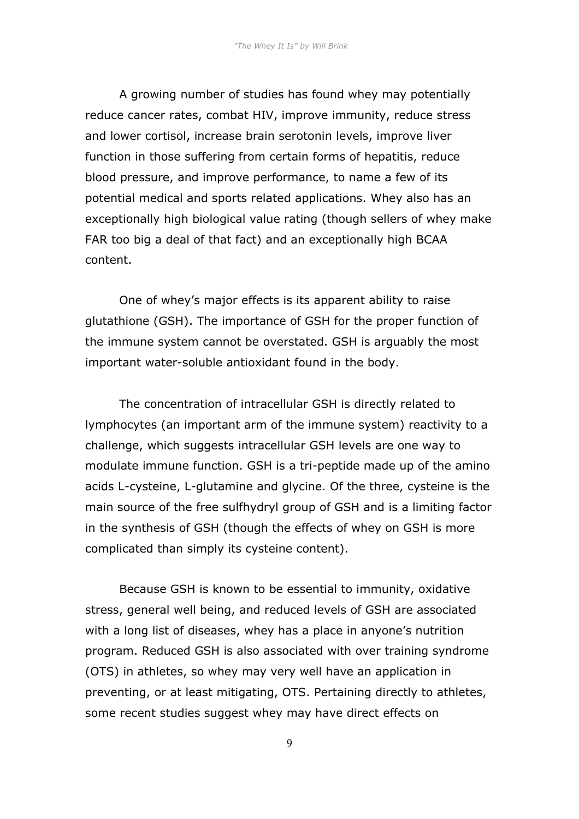A growing number of studies has found whey may potentially reduce cancer rates, combat HIV, improve immunity, reduce stress and lower cortisol, increase brain serotonin levels, improve liver function in those suffering from certain forms of hepatitis, reduce blood pressure, and improve performance, to name a few of its potential medical and sports related applications. Whey also has an exceptionally high biological value rating (though sellers of whey make FAR too big a deal of that fact) and an exceptionally high BCAA content.

One of whey's major effects is its apparent ability to raise glutathione (GSH). The importance of GSH for the proper function of the immune system cannot be overstated. GSH is arguably the most important water-soluble antioxidant found in the body.

The concentration of intracellular GSH is directly related to lymphocytes (an important arm of the immune system) reactivity to a challenge, which suggests intracellular GSH levels are one way to modulate immune function. GSH is a tri-peptide made up of the amino acids L-cysteine, L-glutamine and glycine. Of the three, cysteine is the main source of the free sulfhydryl group of GSH and is a limiting factor in the synthesis of GSH (though the effects of whey on GSH is more complicated than simply its cysteine content).

Because GSH is known to be essential to immunity, oxidative stress, general well being, and reduced levels of GSH are associated with a long list of diseases, whey has a place in anyone's nutrition program. Reduced GSH is also associated with over training syndrome (OTS) in athletes, so whey may very well have an application in preventing, or at least mitigating, OTS. Pertaining directly to athletes, some recent studies suggest whey may have direct effects on

9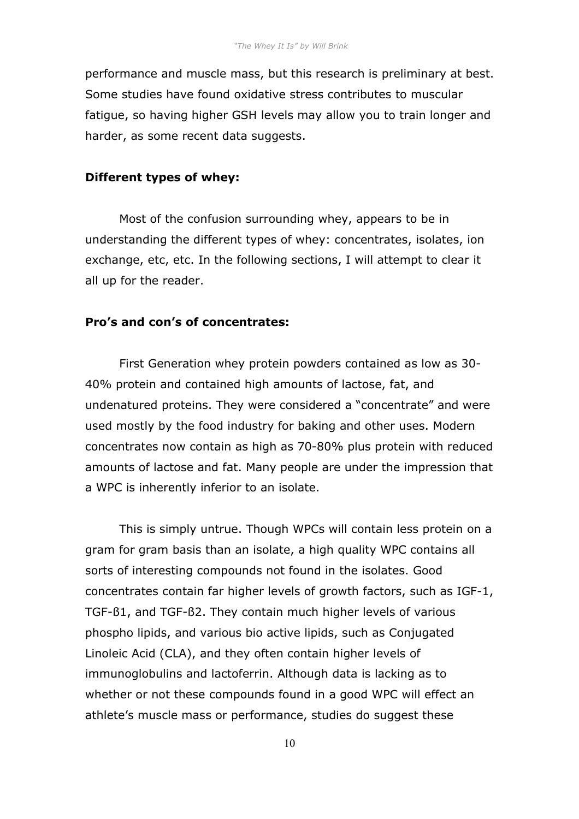performance and muscle mass, but this research is preliminary at best. Some studies have found oxidative stress contributes to muscular fatigue, so having higher GSH levels may allow you to train longer and harder, as some recent data suggests.

#### **Different types of whey:**

Most of the confusion surrounding whey, appears to be in understanding the different types of whey: concentrates, isolates, ion exchange, etc, etc. In the following sections, I will attempt to clear it all up for the reader.

#### **Pro's and con's of concentrates:**

First Generation whey protein powders contained as low as 30- 40% protein and contained high amounts of lactose, fat, and undenatured proteins. They were considered a "concentrate" and were used mostly by the food industry for baking and other uses. Modern concentrates now contain as high as 70-80% plus protein with reduced amounts of lactose and fat. Many people are under the impression that a WPC is inherently inferior to an isolate.

This is simply untrue. Though WPCs will contain less protein on a gram for gram basis than an isolate, a high quality WPC contains all sorts of interesting compounds not found in the isolates. Good concentrates contain far higher levels of growth factors, such as IGF-1, TGF-ß1, and TGF-ß2. They contain much higher levels of various phospho lipids, and various bio active lipids, such as Conjugated Linoleic Acid (CLA), and they often contain higher levels of immunoglobulins and lactoferrin. Although data is lacking as to whether or not these compounds found in a good WPC will effect an athlete's muscle mass or performance, studies do suggest these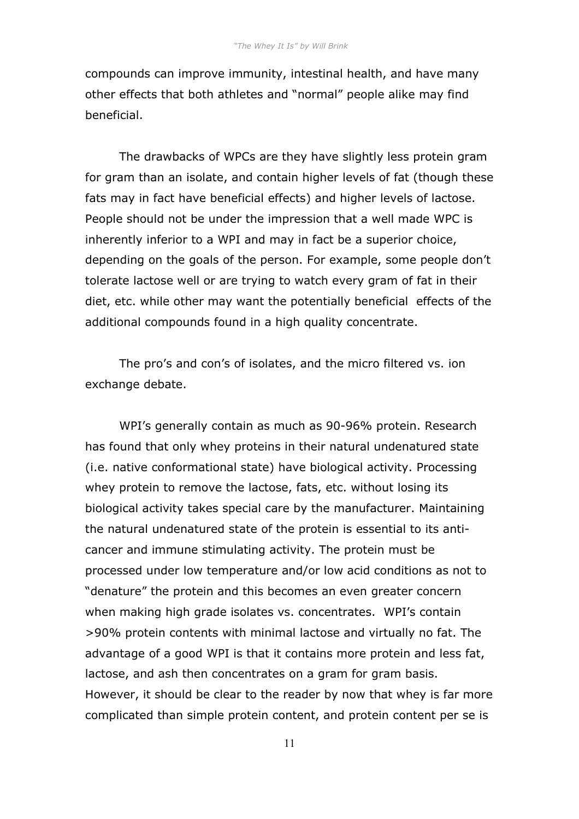compounds can improve immunity, intestinal health, and have many other effects that both athletes and "normal" people alike may find beneficial.

The drawbacks of WPCs are they have slightly less protein gram for gram than an isolate, and contain higher levels of fat (though these fats may in fact have beneficial effects) and higher levels of lactose. People should not be under the impression that a well made WPC is inherently inferior to a WPI and may in fact be a superior choice, depending on the goals of the person. For example, some people don't tolerate lactose well or are trying to watch every gram of fat in their diet, etc. while other may want the potentially beneficial effects of the additional compounds found in a high quality concentrate.

The pro's and con's of isolates, and the micro filtered vs. ion exchange debate.

WPI's generally contain as much as 90-96% protein. Research has found that only whey proteins in their natural undenatured state (i.e. native conformational state) have biological activity. Processing whey protein to remove the lactose, fats, etc. without losing its biological activity takes special care by the manufacturer. Maintaining the natural undenatured state of the protein is essential to its anticancer and immune stimulating activity. The protein must be processed under low temperature and/or low acid conditions as not to "denature" the protein and this becomes an even greater concern when making high grade isolates vs. concentrates. WPI's contain >90% protein contents with minimal lactose and virtually no fat. The advantage of a good WPI is that it contains more protein and less fat, lactose, and ash then concentrates on a gram for gram basis. However, it should be clear to the reader by now that whey is far more complicated than simple protein content, and protein content per se is

11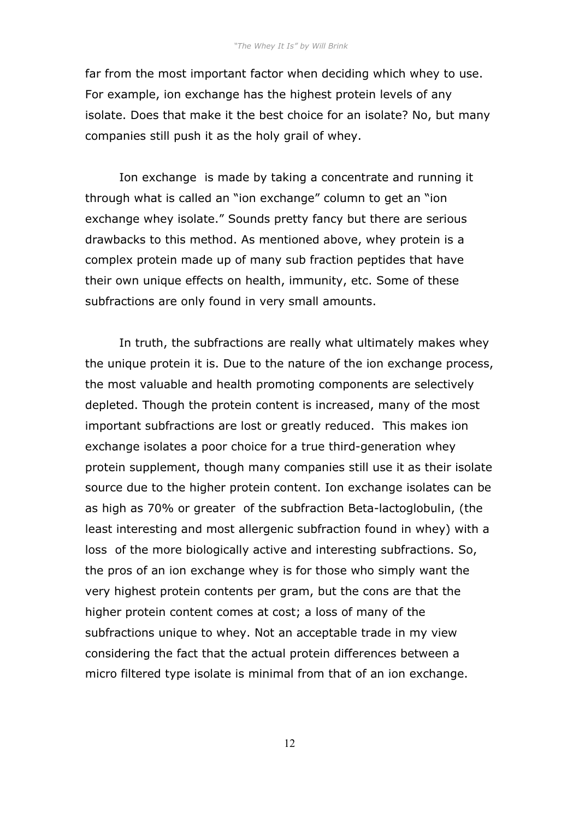far from the most important factor when deciding which whey to use. For example, ion exchange has the highest protein levels of any isolate. Does that make it the best choice for an isolate? No, but many companies still push it as the holy grail of whey.

 Ion exchange is made by taking a concentrate and running it through what is called an "ion exchange" column to get an "ion exchange whey isolate." Sounds pretty fancy but there are serious drawbacks to this method. As mentioned above, whey protein is a complex protein made up of many sub fraction peptides that have their own unique effects on health, immunity, etc. Some of these subfractions are only found in very small amounts.

In truth, the subfractions are really what ultimately makes whey the unique protein it is. Due to the nature of the ion exchange process, the most valuable and health promoting components are selectively depleted. Though the protein content is increased, many of the most important subfractions are lost or greatly reduced. This makes ion exchange isolates a poor choice for a true third-generation whey protein supplement, though many companies still use it as their isolate source due to the higher protein content. Ion exchange isolates can be as high as 70% or greater of the subfraction Beta-lactoglobulin, (the least interesting and most allergenic subfraction found in whey) with a loss of the more biologically active and interesting subfractions. So, the pros of an ion exchange whey is for those who simply want the very highest protein contents per gram, but the cons are that the higher protein content comes at cost; a loss of many of the subfractions unique to whey. Not an acceptable trade in my view considering the fact that the actual protein differences between a micro filtered type isolate is minimal from that of an ion exchange.

12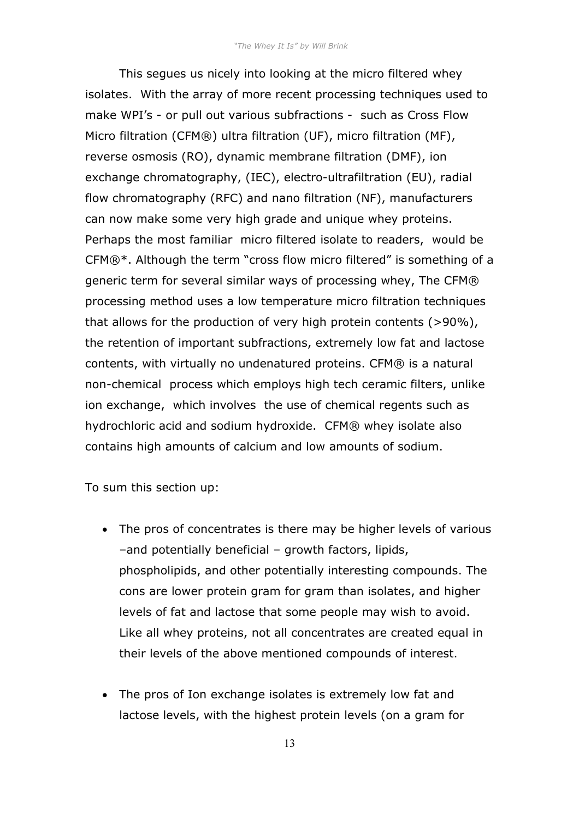This segues us nicely into looking at the micro filtered whey isolates. With the array of more recent processing techniques used to make WPI's - or pull out various subfractions - such as Cross Flow Micro filtration (CFM®) ultra filtration (UF), micro filtration (MF), reverse osmosis (RO), dynamic membrane filtration (DMF), ion exchange chromatography, (IEC), electro-ultrafiltration (EU), radial flow chromatography (RFC) and nano filtration (NF), manufacturers can now make some very high grade and unique whey proteins. Perhaps the most familiar micro filtered isolate to readers, would be CFM®\*. Although the term "cross flow micro filtered" is something of a generic term for several similar ways of processing whey, The CFM® processing method uses a low temperature micro filtration techniques that allows for the production of very high protein contents (>90%), the retention of important subfractions, extremely low fat and lactose contents, with virtually no undenatured proteins. CFM® is a natural non-chemical process which employs high tech ceramic filters, unlike ion exchange, which involves the use of chemical regents such as hydrochloric acid and sodium hydroxide. CFM® whey isolate also contains high amounts of calcium and low amounts of sodium.

To sum this section up:

- The pros of concentrates is there may be higher levels of various –and potentially beneficial – growth factors, lipids, phospholipids, and other potentially interesting compounds. The cons are lower protein gram for gram than isolates, and higher levels of fat and lactose that some people may wish to avoid. Like all whey proteins, not all concentrates are created equal in their levels of the above mentioned compounds of interest.
- The pros of Ion exchange isolates is extremely low fat and lactose levels, with the highest protein levels (on a gram for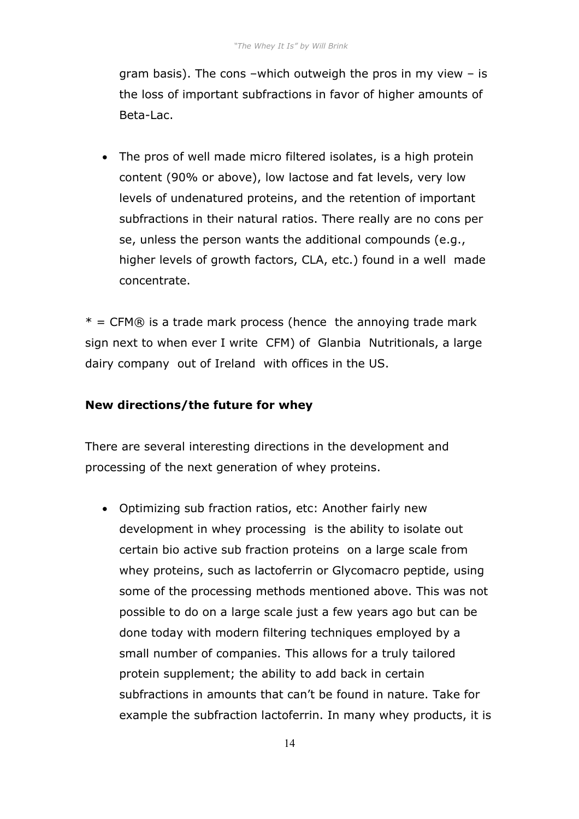gram basis). The cons –which outweigh the pros in my view – is the loss of important subfractions in favor of higher amounts of Beta-Lac.

• The pros of well made micro filtered isolates, is a high protein content (90% or above), low lactose and fat levels, very low levels of undenatured proteins, and the retention of important subfractions in their natural ratios. There really are no cons per se, unless the person wants the additional compounds (e.g., higher levels of growth factors, CLA, etc.) found in a well made concentrate.

 $*$  = CFM® is a trade mark process (hence the annoying trade mark sign next to when ever I write CFM) of Glanbia Nutritionals, a large dairy company out of Ireland with offices in the US.

#### **New directions/the future for whey**

There are several interesting directions in the development and processing of the next generation of whey proteins.

• Optimizing sub fraction ratios, etc: Another fairly new development in whey processing is the ability to isolate out certain bio active sub fraction proteins on a large scale from whey proteins, such as lactoferrin or Glycomacro peptide, using some of the processing methods mentioned above. This was not possible to do on a large scale just a few years ago but can be done today with modern filtering techniques employed by a small number of companies. This allows for a truly tailored protein supplement; the ability to add back in certain subfractions in amounts that can't be found in nature. Take for example the subfraction lactoferrin. In many whey products, it is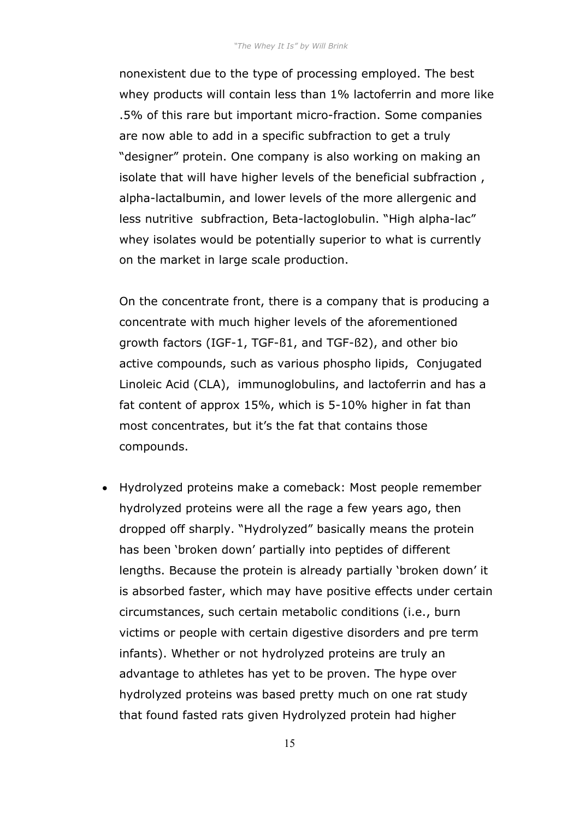nonexistent due to the type of processing employed. The best whey products will contain less than 1% lactoferrin and more like .5% of this rare but important micro-fraction. Some companies are now able to add in a specific subfraction to get a truly "designer" protein. One company is also working on making an isolate that will have higher levels of the beneficial subfraction , alpha-lactalbumin, and lower levels of the more allergenic and less nutritive subfraction, Beta-lactoglobulin. "High alpha-lac" whey isolates would be potentially superior to what is currently on the market in large scale production.

On the concentrate front, there is a company that is producing a concentrate with much higher levels of the aforementioned growth factors (IGF-1, TGF-ß1, and TGF-ß2), and other bio active compounds, such as various phospho lipids, Conjugated Linoleic Acid (CLA), immunoglobulins, and lactoferrin and has a fat content of approx 15%, which is 5-10% higher in fat than most concentrates, but it's the fat that contains those compounds.

• Hydrolyzed proteins make a comeback: Most people remember hydrolyzed proteins were all the rage a few years ago, then dropped off sharply. "Hydrolyzed" basically means the protein has been 'broken down' partially into peptides of different lengths. Because the protein is already partially 'broken down' it is absorbed faster, which may have positive effects under certain circumstances, such certain metabolic conditions (i.e., burn victims or people with certain digestive disorders and pre term infants). Whether or not hydrolyzed proteins are truly an advantage to athletes has yet to be proven. The hype over hydrolyzed proteins was based pretty much on one rat study that found fasted rats given Hydrolyzed protein had higher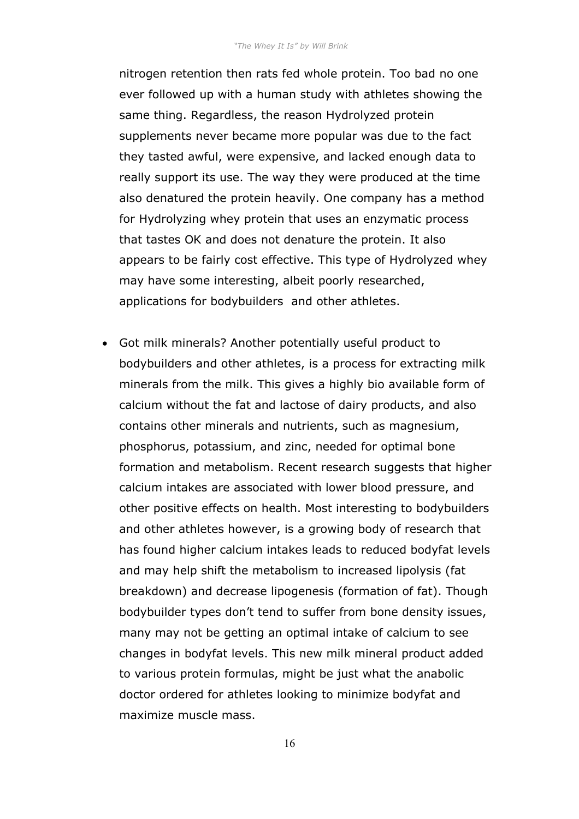nitrogen retention then rats fed whole protein. Too bad no one ever followed up with a human study with athletes showing the same thing. Regardless, the reason Hydrolyzed protein supplements never became more popular was due to the fact they tasted awful, were expensive, and lacked enough data to really support its use. The way they were produced at the time also denatured the protein heavily. One company has a method for Hydrolyzing whey protein that uses an enzymatic process that tastes OK and does not denature the protein. It also appears to be fairly cost effective. This type of Hydrolyzed whey may have some interesting, albeit poorly researched, applications for bodybuilders and other athletes.

• Got milk minerals? Another potentially useful product to bodybuilders and other athletes, is a process for extracting milk minerals from the milk. This gives a highly bio available form of calcium without the fat and lactose of dairy products, and also contains other minerals and nutrients, such as magnesium, phosphorus, potassium, and zinc, needed for optimal bone formation and metabolism. Recent research suggests that higher calcium intakes are associated with lower blood pressure, and other positive effects on health. Most interesting to bodybuilders and other athletes however, is a growing body of research that has found higher calcium intakes leads to reduced bodyfat levels and may help shift the metabolism to increased lipolysis (fat breakdown) and decrease lipogenesis (formation of fat). Though bodybuilder types don't tend to suffer from bone density issues, many may not be getting an optimal intake of calcium to see changes in bodyfat levels. This new milk mineral product added to various protein formulas, might be just what the anabolic doctor ordered for athletes looking to minimize bodyfat and maximize muscle mass.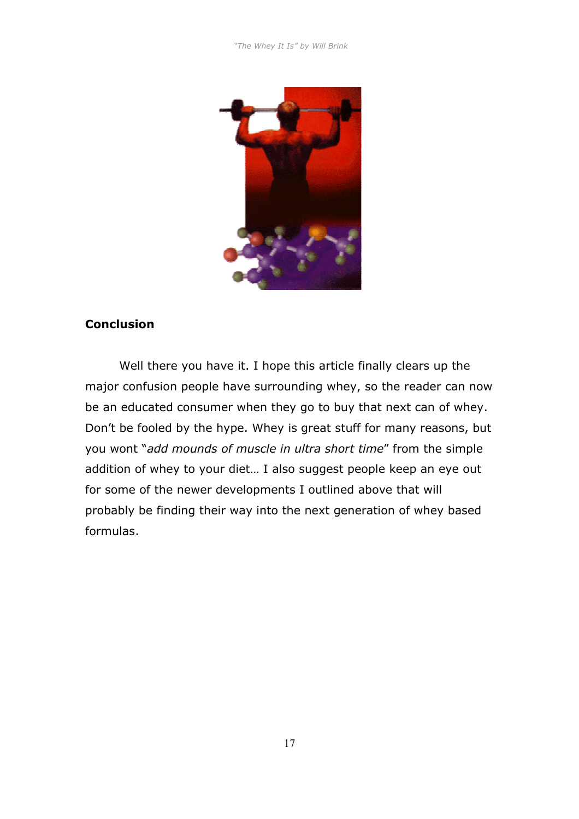

#### **Conclusion**

Well there you have it. I hope this article finally clears up the major confusion people have surrounding whey, so the reader can now be an educated consumer when they go to buy that next can of whey. Don't be fooled by the hype. Whey is great stuff for many reasons, but you wont "*add mounds of muscle in ultra short time*" from the simple addition of whey to your diet… I also suggest people keep an eye out for some of the newer developments I outlined above that will probably be finding their way into the next generation of whey based formulas.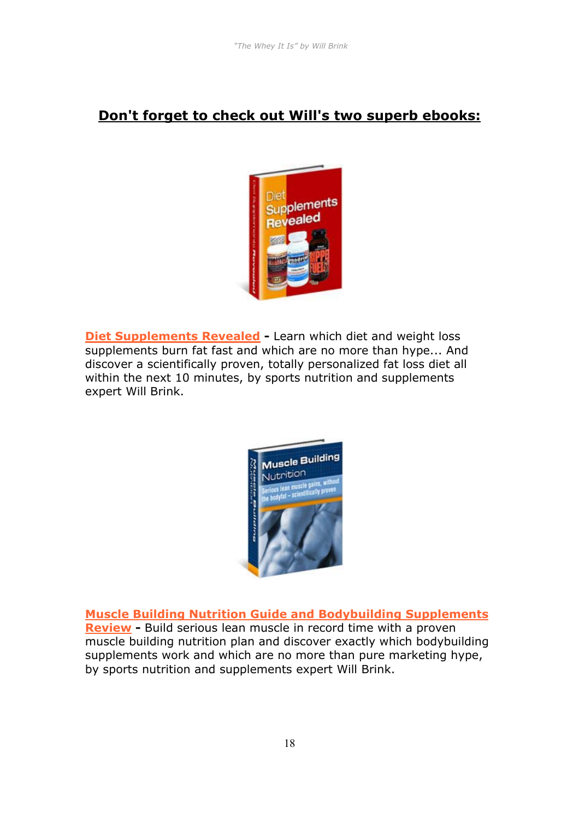#### **Don't forget to check out Will's two superb ebooks:**



**[Diet Supplements Revealed](http://aboutsupplements.com/cgi/at.cgi?a=247018) -** Learn which diet and weight loss supplements burn fat fast and which are no more than hype... And discover a scientifically proven, totally personalized fat loss diet all within the next 10 minutes, by sports nutrition and supplements expert Will Brink.



**[Muscle Building Nutrition Guide and Bodybuilding Supplements](http://musclebuildingnutrition.com/cgi/at.cgi?a=247018)** 

**[Review](http://musclebuildingnutrition.com/cgi/at.cgi?a=247018) - Build serious lean muscle in record time with a proven** muscle building nutrition plan and discover exactly which bodybuilding supplements work and which are no more than pure marketing hype, by sports nutrition and supplements expert Will Brink.